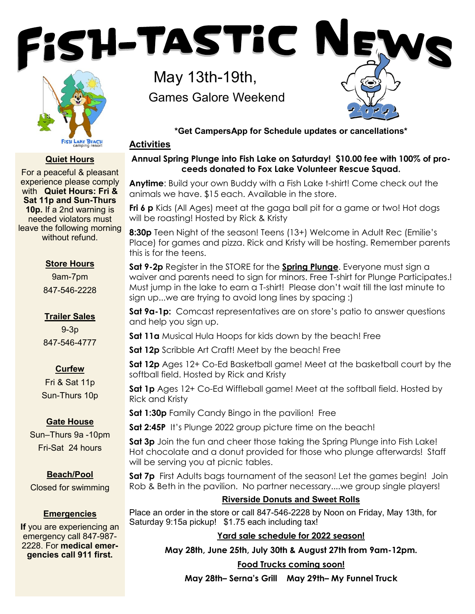



### **Quiet Hours**

For a peaceful & pleasant experience please comply with **Quiet Hours: Fri & Sat 11p and Sun-Thurs 10p.** If a 2nd warning is needed violators must leave the following morning without refund.

### **Store Hours**

9am-7pm 847-546-2228

# **Trailer Sales**

9-3p 847-546-4777

# **Curfew**

Fri & Sat 11p Sun-Thurs 10p

# **Gate House**

Sun–Thurs 9a -10pm Fri-Sat 24 hours

### **Beach/Pool**

Closed for swimming

# **Emergencies**

**If** you are experiencing an emergency call 847-987- 2228. For **medical emergencies call 911 first.**

May 13th-19th, Games Galore Weekend

**\*Get CampersApp for Schedule updates or cancellations\***

### **Activities**

# **Annual Spring Plunge into Fish Lake on Saturday! \$10.00 fee with 100% of proceeds donated to Fox Lake Volunteer Rescue Squad.**

**Anytime**: Build your own Buddy with a Fish Lake t-shirt! Come check out the animals we have. \$15 each. Available in the store.

**Fri 6 p** Kids (All Ages) meet at the gaga ball pit for a game or two! Hot dogs will be roasting! Hosted by Rick & Kristy

**8:30p** Teen Night of the season! Teens (13+) Welcome in Adult Rec (Emilie's Place) for games and pizza. Rick and Kristy will be hosting. Remember parents this is for the teens.

**Sat 9-2p** Register in the STORE for the **Spring Plunge**. Everyone must sign a waiver and parents need to sign for minors. Free T-shirt for Plunge Participates.! Must jump in the lake to earn a T-shirt! Please don't wait till the last minute to sign up...we are trying to avoid long lines by spacing :)

**Sat 9a-1p:** Comcast representatives are on store's patio to answer questions and help you sign up.

**Sat 11a** Musical Hula Hoops for kids down by the beach! Free

**Sat 12p** Scribble Art Craft! Meet by the beach! Free

**Sat 12p** Ages 12+ Co-Ed Basketball game! Meet at the basketball court by the softball field. Hosted by Rick and Kristy

**Sat 1p** Ages 12+ Co-Ed Wiffleball game! Meet at the softball field. Hosted by Rick and Kristy

**Sat 1:30p** Family Candy Bingo in the pavilion! Free

**Sat 2:45P** It's Plunge 2022 group picture time on the beach!

**Sat 3p** Join the fun and cheer those taking the Spring Plunge into Fish Lake! Hot chocolate and a donut provided for those who plunge afterwards! Staff will be serving you at picnic tables.

**Sat 7p** First Adults bags tournament of the season! Let the games begin! Join Rob & Beth in the pavilion. No partner necessary....we group single players!

# **Riverside Donuts and Sweet Rolls**

Place an order in the store or call 847-546-2228 by Noon on Friday, May 13th, for Saturday 9:15a pickup! \$1.75 each including tax!

# **Yard sale schedule for 2022 season!**

**May 28th, June 25th, July 30th & August 27th from 9am-12pm.** 

**Food Trucks coming soon!** 

**May 28th– Serna's Grill May 29th– My Funnel Truck**